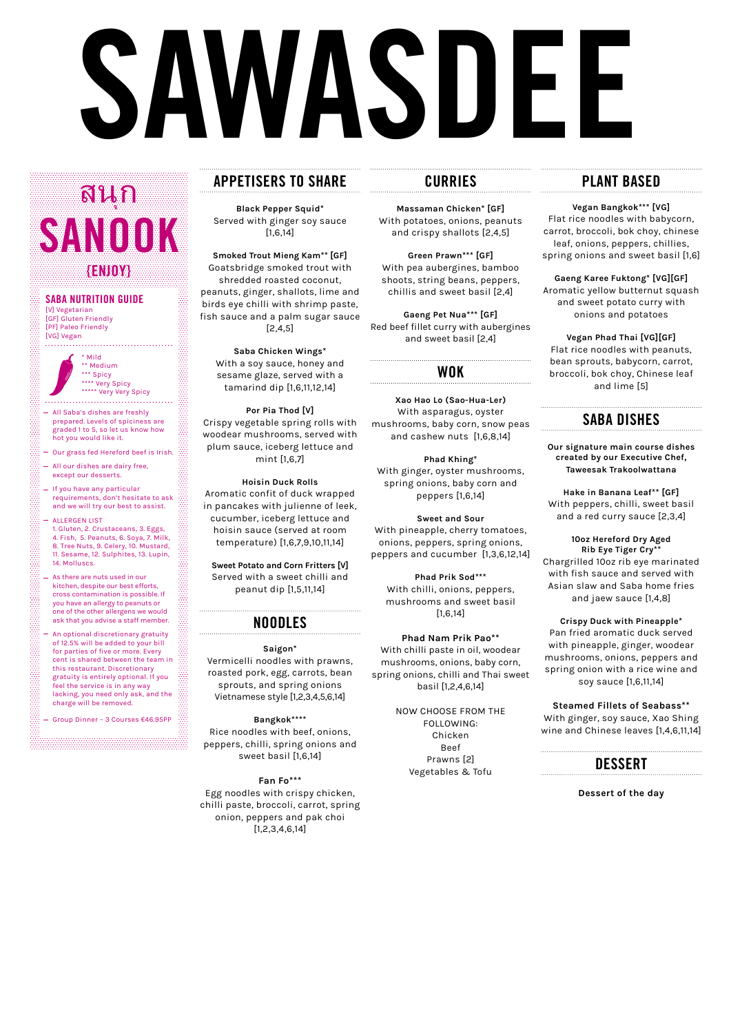# **SAWASDEE**

# **APPETISERS TO SHARE**

**Black Pepper Squid\*** Served with ginger soy sauce [1,6,14]

**Smoked Trout Mieng Kam\*\* [GF]** Goatsbridge smoked trout with shredded roasted coconut, peanuts, ginger, shallots, lime and birds eye chilli with shrimp paste, fish sauce and a palm sugar sauce [2,4,5]

**Saba Chicken Wings\*** With a soy sauce, honey and sesame glaze, served with a tamarind dip [1,6,11,12,14]

**Por Pia Thod [V]** Crispy vegetable spring rolls with woodear mushrooms, served with plum sauce, iceberg lettuce and mint [1,6,7]

**Hoisin Duck Rolls** Aromatic confit of duck wrapped in pancakes with julienne of leek, cucumber, iceberg lettuce and hoisin sauce (served at room temperature) [1,6,7,9,10,11,14]

**Sweet Potato and Corn Fritters [V]**  Served with a sweet chilli and peanut dip [1,5,11,14]

#### **NOODLES**

**Saigon\*** Vermicelli noodles with prawns, roasted pork, egg, carrots, bean sprouts, and spring onions Vietnamese style [1,2,3,4,5,6,14]

**Bangkok\*\*\*\*** Rice noodles with beef, onions, peppers, chilli, spring onions and sweet basil [1,6,14]

**Fan Fo\*\*\*** Egg noodles with crispy chicken, chilli paste, broccoli, carrot, spring onion, peppers and pak choi [1,2,3,4,6,14]

### **CURRIES**

**Massaman Chicken\* [GF]** With potatoes, onions, peanuts and crispy shallots [2,4,5]

**Green Prawn\*\*\* [GF]** With pea aubergines, bamboo shoots, string beans, peppers, chillis and sweet basil [2,4]

**Gaeng Pet Nua\*\*\* [GF]** Red beef fillet curry with aubergines and sweet basil [2,4]

#### **WOK**

**Xao Hao Lo (Sao-Hua-Ler)** With asparagus, oyster mushrooms, baby corn, snow peas and cashew nuts [1,6,8,14]

**Phad Khing\*** With ginger, oyster mushrooms, spring onions, baby corn and peppers [1,6,14]

[PF] Paleo Friendly [VG] Vegan . . . . . . . . . . . . . . . . . .

> **Sweet and Sour** With pineapple, cherry tomatoes, onions, peppers, spring onions, peppers and cucumber [1,3,6,12,14]

**Phad Prik Sod\*\*\*** With chilli, onions, peppers, mushrooms and sweet basil [1,6,14]

**Phad Nam Prik Pao\*\*** With chilli paste in oil, woodear mushrooms, onions, baby corn, spring onions, chilli and Thai sweet basil [1,2,4,6,14]

> NOW CHOOSE FROM THE FOLLOWING: Chicken Beef Prawns [2] Vegetables & Tofu

# **PLANT BASED**

**Vegan Bangkok\*\*\* [VG]** Flat rice noodles with babycorn, carrot, broccoli, bok choy, chinese leaf, onions, peppers, chillies, spring onions and sweet basil [1,6]

**Gaeng Karee Fuktong\* [VG][GF]** Aromatic yellow butternut squash and sweet potato curry with onions and potatoes

**Vegan Phad Thai [VG][GF]** Flat rice noodles with peanuts, bean sprouts, babycorn, carrot, broccoli, bok choy, Chinese leaf and lime [5]

# **SABA DISHES**

**Our signature main course dishes created by our Executive Chef, Taweesak Trakoolwattana**

**Hake in Banana Leaf\*\* [GF]** With peppers, chilli, sweet basil and a red curry sauce [2,3,4]

**10oz Hereford Dry Aged Rib Eye Tiger Cry\*\*** Chargrilled 10oz rib eye marinated with fish sauce and served with Asian slaw and Saba home fries and jaew sauce [1,4,8]

**Crispy Duck with Pineapple\*** Pan fried aromatic duck served with pineapple, ginger, woodear mushrooms, onions, peppers and spring onion with a rice wine and soy sauce [1,6,11,14]

**Steamed Fillets of Seabass\*\***  With ginger, soy sauce, Xao Shing wine and Chinese leaves [1,4,6,11,14]



**Dessert of the day**

#### **SABA NUTRITION GUIDE** [V] Vegetarian [GF] Gluten Friendly

ุ **SANOOKA {ENJOY}** สนก

> \* Mild \*\* Medium \*\*\* Spicy \*\*\*\* Very Spicy \*\*\*\*\* Very Very Spicy

- All Saba's dishes are freshly prepared. Levels of spiciness are graded 1 to 5, so let us know how hot you would like it.
- Our grass fed Hereford beef is Irish.
- All our dishes are dairy free, except our desserts.

88

- If you have any particular requirements, don't hesitate to ask and we will try our best to assist.
- ALLERGEN LIST 1. Gluten, 2. Crustaceans, 3. Eggs, 4. Fish, 5. Peanuts, 6. Soya, 7. Milk, 8. Tree Nuts, 9. Celery, 10. Mustard, 11. Sesame, 12. Sulphites, 13. Lupin, 14. Molluscs.
- As there are nuts used in our kitchen, despite our best efforts, cross contamination is possible. If you have an allergy to peanuts or one of the other allergens we would ask that you advise a staff member.
- An optional discretionary gratuity of 12.5% will be added to your bill for parties of five or more. Every cent is shared between the team in this restaurant. Discretionary gratuity is entirely optional. If you feel the service is in any way lacking, you need only ask, and the charge will be removed.
- Group Dinner 3 Courses €46.95PP